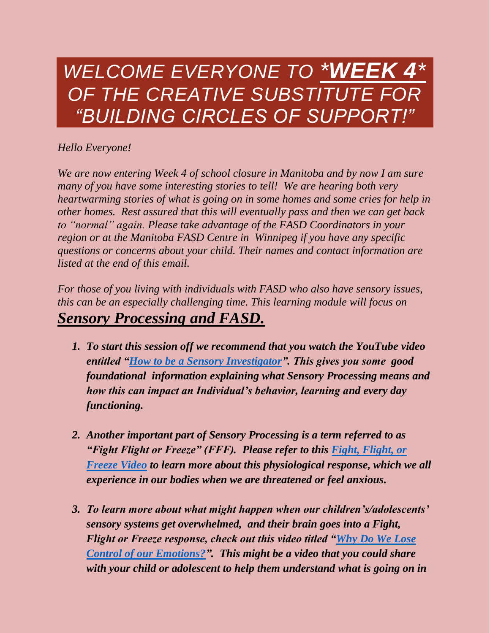# *WELCOME EVERYONE TO \*WEEK 4\* OF THE CREATIVE SUBSTITUTE FOR "BUILDING CIRCLES OF SUPPORT!"*

# *Hello Everyone!*

*We are now entering Week 4 of school closure in Manitoba and by now I am sure many of you have some interesting stories to tell! We are hearing both very heartwarming stories of what is going on in some homes and some cries for help in other homes. Rest assured that this will eventually pass and then we can get back to "normal" again. Please take advantage of the FASD Coordinators in your region or at the Manitoba FASD Centre in Winnipeg if you have any specific questions or concerns about your child. Their names and contact information are listed at the end of this email.*

*For those of you living with individuals with FASD who also have sensory issues, this can be an especially challenging time. This learning module will focus on Sensory Processing and FASD.* 

- *1. To start this session off we recommend that you watch the YouTube video entitled ["How to be a Sensory Investigator"](https://www.youtube.com/watch?v=wUJwqc-2e4I). This gives you some good foundational information explaining what Sensory Processing means and how this can impact an Individual's behavior, learning and every day functioning.*
- *2. Another important part of Sensory Processing is a term referred to as "Fight Flight or Freeze" (FFF). Please refer to this [Fight, Flight, or](https://www.youtube.com/watch?v=SJhcn7Q0-LU)  [Freeze Video](https://www.youtube.com/watch?v=SJhcn7Q0-LU) to learn more about this physiological response, which we all experience in our bodies when we are threatened or feel anxious.*
- *3. To learn more about what might happen when our children's/adolescents' sensory systems get overwhelmed, and their brain goes into a Fight, Flight or Freeze response, check out this video titled ["Why Do We Lose](https://www.youtube.com/watch?v=3bKuoH8CkFc)  [Control of our Emotions?"](https://www.youtube.com/watch?v=3bKuoH8CkFc). This might be a video that you could share with your child or adolescent to help them understand what is going on in*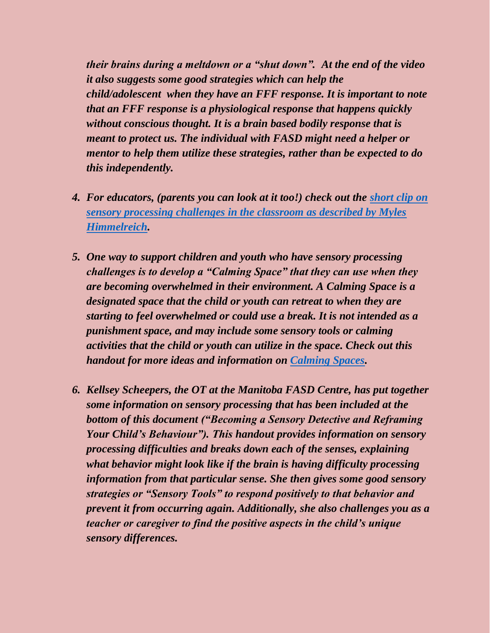*their brains during a meltdown or a "shut down". At the end of the video it also suggests some good strategies which can help the child/adolescent when they have an FFF response. It is important to note that an FFF response is a physiological response that happens quickly without conscious thought. It is a brain based bodily response that is meant to protect us. The individual with FASD might need a helper or mentor to help them utilize these strategies, rather than be expected to do this independently.* 

- *4. For educators, (parents you can look at it too!) check out the [short clip on](https://www.youtube.com/watch?v=YY9Ycksq0Qw)  [sensory processing challenges in the classroom as described by Myles](https://www.youtube.com/watch?v=YY9Ycksq0Qw)  [Himmelreich.](https://www.youtube.com/watch?v=YY9Ycksq0Qw)*
- *5. One way to support children and youth who have sensory processing challenges is to develop a "Calming Space" that they can use when they are becoming overwhelmed in their environment. A Calming Space is a designated space that the child or youth can retreat to when they are starting to feel overwhelmed or could use a break. It is not intended as a punishment space, and may include some sensory tools or calming activities that the child or youth can utilize in the space. Check out this handout for more ideas and information on [Calming Spaces.](https://rccinc.ca/wp-content/uploads/2020/04/Calming-Spaces-Handout.pdf)*
- *6. Kellsey Scheepers, the OT at the Manitoba FASD Centre, has put together some information on sensory processing that has been included at the bottom of this document ("Becoming a Sensory Detective and Reframing Your Child's Behaviour"). This handout provides information on sensory processing difficulties and breaks down each of the senses, explaining what behavior might look like if the brain is having difficulty processing information from that particular sense. She then gives some good sensory strategies or "Sensory Tools" to respond positively to that behavior and prevent it from occurring again. Additionally, she also challenges you as a teacher or caregiver to find the positive aspects in the child's unique sensory differences.*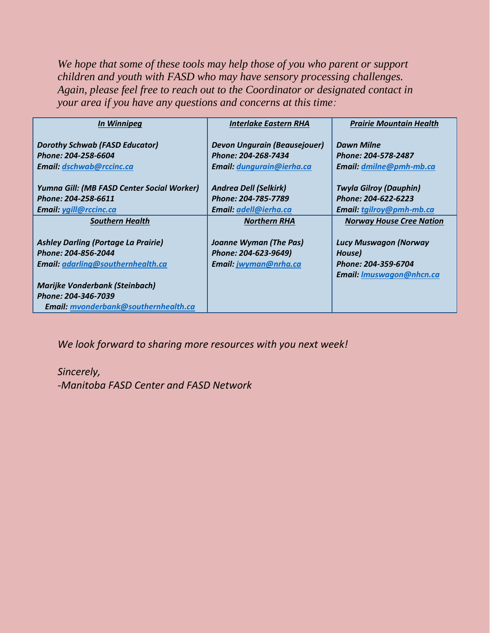We hope that some of these tools may help those of you who parent or support *children and youth with FASD who may have sensory processing challenges. Again, please feel free to reach out to the Coordinator or designated contact in your area if you have any questions and concerns at this time:*

| In Winnipeg                                                                                            | <b>Interlake Eastern RHA</b>                                                                   | <b>Prairie Mountain Health</b>                                                                   |
|--------------------------------------------------------------------------------------------------------|------------------------------------------------------------------------------------------------|--------------------------------------------------------------------------------------------------|
| <b>Dorothy Schwab (FASD Educator)</b><br>Phone: 204-258-6604<br><b>Email: dschwab@rccinc.ca</b>        | <b>Devon Ungurain (Beausejouer)</b><br>Phone: 204-268-7434<br><b>Email: dungurain@ierha.ca</b> | <b>Dawn Milne</b><br>Phone: 204-578-2487<br>Email: dmilne@pmh-mb.ca                              |
| Yumna Gill: (MB FASD Center Social Worker)<br>Phone: 204-258-6611<br>Email: ygill@rccinc.ca            | <b>Andrea Dell (Selkirk)</b><br>Phone: 204-785-7789<br>Email: adell@ierha.ca                   | <b>Twyla Gilroy (Dauphin)</b><br>Phone: 204-622-6223<br>Email: tgilroy@pmh-mb.ca                 |
| <b>Southern Health</b>                                                                                 | <b>Northern RHA</b>                                                                            | <b>Norway House Cree Nation</b>                                                                  |
| <b>Ashley Darling (Portage La Prairie)</b><br>Phone: 204-856-2044<br>Email: adarling@southernhealth.ca | Joanne Wyman (The Pas)<br>Phone: 204-623-9649)<br>Email: jwyman@nrha.ca                        | <b>Lucy Muswagon (Norway</b><br>House)<br>Phone: 204-359-6704<br><b>Email: Imuswagon@nhcn.ca</b> |
| <b>Marijke Vonderbank (Steinbach)</b>                                                                  |                                                                                                |                                                                                                  |
| Phone: 204-346-7039                                                                                    |                                                                                                |                                                                                                  |
| Email: mvonderbank@southernhealth.ca                                                                   |                                                                                                |                                                                                                  |

*We look forward to sharing more resources with you next week!* 

## *Sincerely, -Manitoba FASD Center and FASD Network*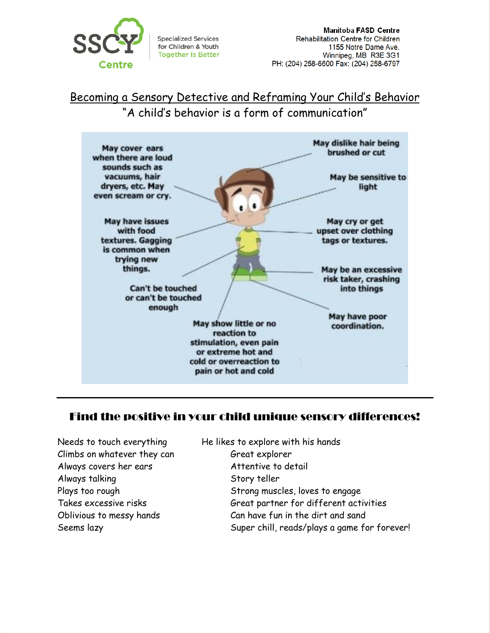

**Specialized Services** for Children & Youth **Together Is Better** 

**Manitoba FASD Centre** Rehabilitation Centre for Children 1155 Notre Dame Ave. Winnipeg, MB R3E 3G1 PH: (204) 258-6600 Fax: (204) 258-6797

Becoming a Sensory Detective and Reframing Your Child's Behavior "A child's behavior is a form of communication"



## Find the positive in your child unique sensory differences!

Climbs on whatever they can Great explorer Always covers her ears Attentive to detail Always talking Story teller

Needs to touch everything He likes to explore with his hands Plays too rough Strong muscles, loves to engage Takes excessive risks Great partner for different activities Oblivious to messy hands Can have fun in the dirt and sand Seems lazy Super chill, reads/plays a game for forever!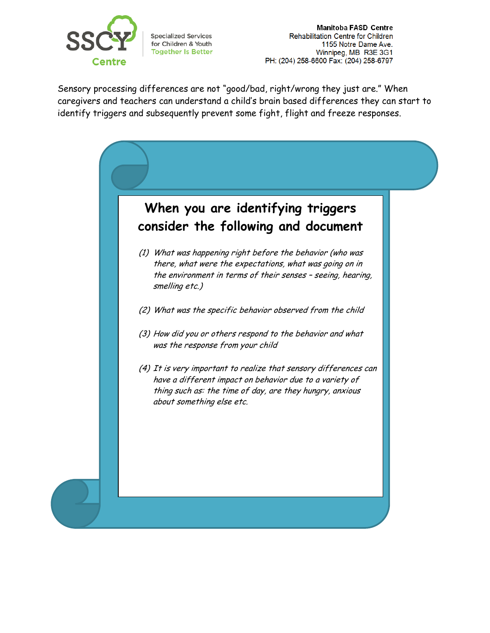

**Specialized Services** for Children & Youth **Together Is Better** 

Manitoba FASD Centre Rehabilitation Centre for Children 1155 Notre Dame Ave. Winnipeg, MB R3E 3G1 PH: (204) 258-6600 Fax: (204) 258-6797

Sensory processing differences are not "good/bad, right/wrong they just are." When caregivers and teachers can understand a child's brain based differences they can start to identify triggers and subsequently prevent some fight, flight and freeze responses.

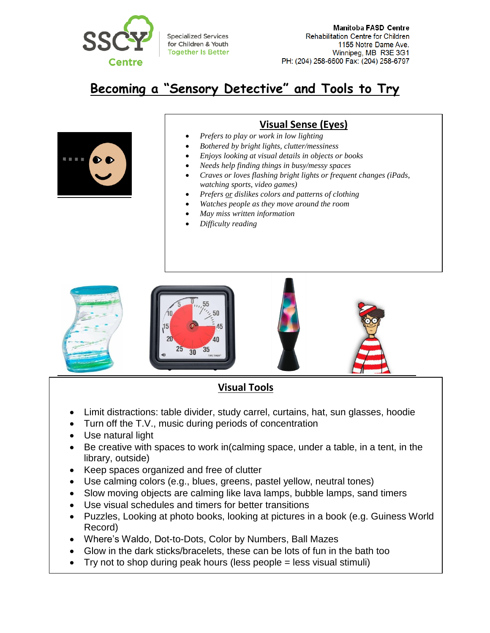

# **Becoming a "Sensory Detective" and Tools to Try**



### **Visual Sense (Eyes)**

- *Prefers to play or work in low lighting*
- *Bothered by bright lights, clutter/messiness*
- *Enjoys looking at visual details in objects or books*
- *Needs help finding things in busy/messy spaces*
- *Craves or loves flashing bright lights or frequent changes (iPads, watching sports, video games)*
- *Prefers or dislikes colors and patterns of clothing*
- *Watches people as they move around the room*
- *May miss written information*
- *Difficulty reading*



## **Visual Tools**

- Limit distractions: table divider, study carrel, curtains, hat, sun glasses, hoodie
- Turn off the T.V., music during periods of concentration
- Use natural light
- Be creative with spaces to work in(calming space, under a table, in a tent, in the library, outside)
- Keep spaces organized and free of clutter
- Use calming colors (e.g., blues, greens, pastel yellow, neutral tones)
- Slow moving objects are calming like lava lamps, bubble lamps, sand timers
- Use visual schedules and timers for better transitions
- Puzzles, Looking at photo books, looking at pictures in a book (e.g. Guiness World Record)
- Where's Waldo, Dot-to-Dots, Color by Numbers, Ball Mazes
- Glow in the dark sticks/bracelets, these can be lots of fun in the bath too
- **Becoming the dank sucks/braccicles, these can be lots of farming bath tools**<br>• Try not to shop during peak hours (less people = less visual stimuli)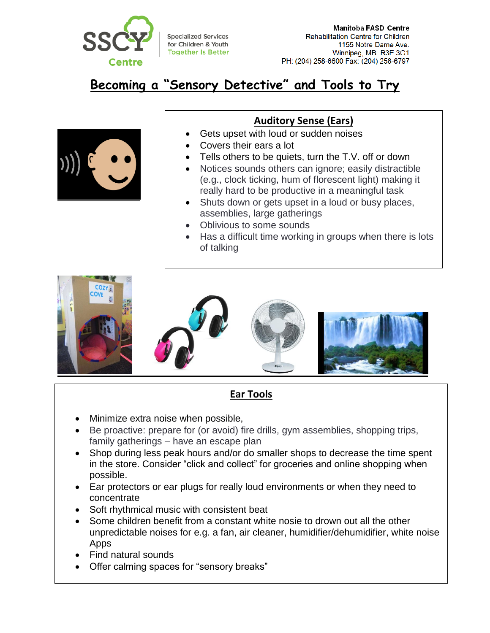

**Specialized Services** for Children & Youth **Together Is Better** 

# **Becoming a "Sensory Detective" and Tools to Try**



 $\overline{a}$ 

#### **Auditory Sense (Ears)**

- Gets upset with loud or sudden noises
- Covers their ears a lot
- Tells others to be quiets, turn the T.V. off or down
- Notices sounds others can ignore; easily distractible (e.g., clock ticking, hum of florescent light) making it really hard to be productive in a meaningful task
- Shuts down or gets upset in a loud or busy places, assemblies, large gatherings
- Oblivious to some sounds
- Has a difficult time working in groups when there is lots of talking



Talks very loudly

## **Ear Tools**

- Minimize extra noise when possible,
- Be proactive: prepare for (or avoid) fire drills, gym assemblies, shopping trips, family gatherings – have an escape plan
- Shop during less peak hours and/or do smaller shops to decrease the time spent in the store. Consider "click and collect" for groceries and online shopping when possible.
- Ear protectors or ear plugs for really loud environments or when they need to concentrate
- Soft rhythmical music with consistent beat
- Some children benefit from a constant white nosie to drown out all the other unpredictable noises for e.g. a fan, air cleaner, humidifier/dehumidifier, white noise Apps
- Find natural sounds
- **Becoming a Sensory Detective Sensory of Trying Serverse Serverse Serverse Serverse Serverse Serverse Serverse Serverse Serverse Serverse Serverse Serverse Serverse Serverse Serverse Serverse Serverse Serverse Serverse Ser**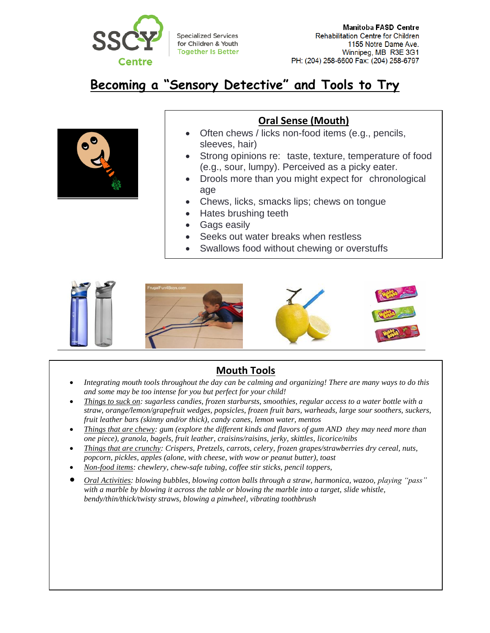

# **Becoming a "Sensory Detective" and Tools to Try**



#### **Oral Sense (Mouth)**

- Often chews / licks non-food items (e.g., pencils, sleeves, hair)
- Strong opinions re: taste, texture, temperature of food (e.g., sour, lumpy). Perceived as a picky eater.
- Drools more than you might expect for chronological age
- Chews, licks, smacks lips; chews on tongue
- Hates brushing teeth
- Gags easily
- Seeks out water breaks when restless
- Swallows food without chewing or overstuffs



#### **Mouth Tools**

- *Integrating mouth tools throughout the day can be calming and organizing! There are many ways to do this and some may be too intense for you but perfect for your child!*
- *Things to suck on: sugarless candies, frozen starbursts, smoothies, regular access to a water bottle with a straw, orange/lemon/grapefruit wedges, popsicles, frozen fruit bars, warheads, large sour soothers, suckers, fruit leather bars (skinny and/or thick), candy canes, lemon water, mentos*
- *Things that are chewy: gum (explore the different kinds and flavors of gum AND they may need more than one piece), granola, bagels, fruit leather, craisins/raisins, jerky, skittles, licorice/nibs*
- *Things that are crunchy: Crispers, Pretzels, carrots, celery, frozen grapes/strawberries dry cereal, nuts, popcorn, pickles, apples (alone, with cheese, with wow or peanut butter), toast*
- *Non-food items: chewlery, chew-safe tubing, coffee stir sticks, pencil toppers,*
- *Oral Activities: blowing bubbles, blowing cotton balls through a straw, harmonica, wazoo, playing "pass" with a marble by blowing it across the table or blowing the marble into a target, slide whistle, bendy/thin/thick/twisty straws, blowing a pinwheel, vibrating toothbrush*